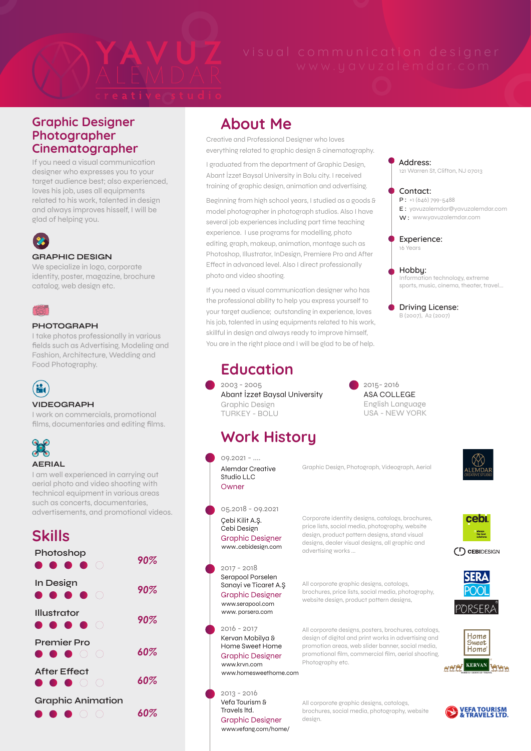

## Graphic Designer Photographer Cinematographer

If you need a visual communication designer who expresses you to your target audience best; also experienced, loves his job, uses all equipments related to his work, talented in design and always improves hisself, I will be glad of helping you.



#### **GRAPHIC DESIGN**

We specialize in logo, corporate identity, poster, magazine, brochure catalog, web design etc.



### **PHOTOGRAPH**

I take photos professionally in various fields such as Advertising, Modeling and Fashion, Architecture, Wedding and Food Photography.



## **VIDEOGRAPH**

I work on commercials, promotional films, documentaries and editing films.



## **AERIAL**

I am well experienced in carrying out aerial photo and video shooting with technical equipment in various areas such as concerts, documentaries, advertisements, and promotional videos.

# Skills

| Photoshop<br>.                                      | $90\%$ |
|-----------------------------------------------------|--------|
| In Design<br>.                                      | 90%    |
| Illustrator<br>.                                    | 90%    |
| Premier Pro<br>.                                    | 60%    |
| <b>After Effect</b><br>$\qquad \qquad \blacksquare$ | 60%    |
| <b>Graphic Animation</b>                            | 60%    |

## About Me

Creative and Professional Designer who loves everything related to graphic design & cinematography.

I graduated from the department of Graphic Design, Abant İzzet Baysal University in Bolu city. I received training of graphic design, animation and advertising.

Beginning from high school years, I studied as a goods & model photographer in photograph studios. Also I have several job experiences including part time teaching experience. I use programs for modelling, photo editing, graph, makeup, animation, montage such as Photoshop, Illustrator, InDesign, Premiere Pro and After Effect in advanced level. Also I direct professionally photo and video shooting.

If you need a visual communication designer who has the professional ability to help you express yourself to your target audience; outstanding in experience, loves his job, talented in using equipments related to his work, skillful in design and always ready to improve himself, You are in the right place and I will be glad to be of help.

# Education

Graphic Design TURKEY - BOLU 2003 - 2005 Abant İzzet Baysal University

# Work History

2013 - 2016

www.krvn.com

Graphic Designer

www.homesweethome.com

www.vefang.com/home/

Graphic Designer

Vefa Tourism & Travels ltd.

Corporate identity designs, catalogs, brochures, price lists, social media, photography, website design, product pattern designs, stand visual designs, dealer visual designs, all graphic and advertising works ... Graphic Design, Photograph, Videograph, Aerial All corporate graphic designs, catalogs, brochures, price lists, social media, photography, website design, product pattern designs, All corporate designs, posters, brochures, catalogs, design of digital and print works in advertising and 05.2018 - 09.2021  $09.2021 - ...$ 2017 - 2018 2016 - 2017 Çebi Kilit A.Ş. Cebi Design Alemdar Creative Studio LLC Serapool Porselen Sanayi ve Ticaret A.Ş Kervan Mobilya & Home Sweet Home www.serapool.com www..cebidesign.com www. porsera.com Graphic Designer **Owner** Graphic Designer

promotion areas, web slider banner, social media, promotional film, commercial film, aerial shooting, Photography etc.

All corporate graphic designs, catalogs, brochures, social media, photography, website design.

## **Contact:** 121 Warren St, Clifton, NJ 07013  $P: +1 (646) 799 - 5488$

yavuzalemdar@yavuzalemdar.com E : W: www.yavuzalemdar.com

#### **Experience:** 16 Years

**Address:**

**Hobby:** Information technology, extreme sports, music, cinema, theater, travel...

**Driving License:** B (2007), A2 (2007)

English Language USA - NEW YORK 2015- 2016 ASA COLLEGE



cebi always<br>the best